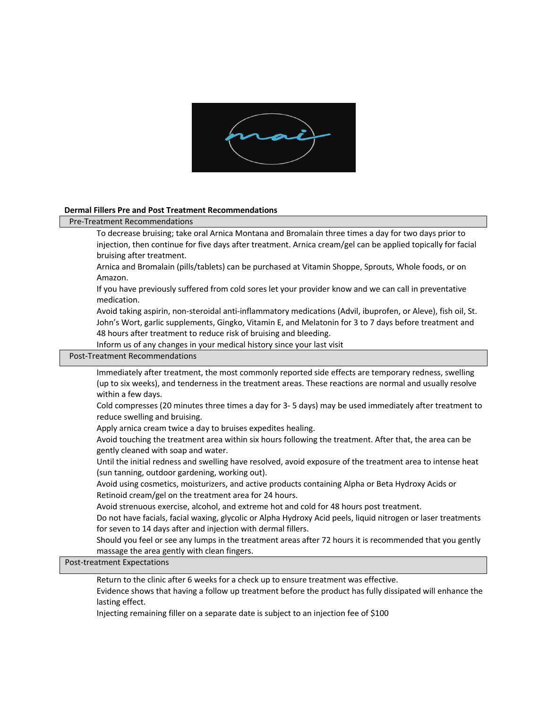

## **Dermal Fillers Pre and Post Treatment Recommendations**

### Pre-Treatment Recommendations

 To decrease bruising; take oral Arnica Montana and Bromalain three times a day for two days prior to injection, then continue for five days after treatment. Arnica cream/gel can be applied topically for facial bruising after treatment.

 Arnica and Bromalain (pills/tablets) can be purchased at Vitamin Shoppe, Sprouts, Whole foods, or on Amazon.

 If you have previously suffered from cold sores let your provider know and we can call in preventative medication.

 Avoid taking aspirin, non-steroidal anti-inflammatory medications (Advil, ibuprofen, or Aleve), fish oil, St. John's Wort, garlic supplements, Gingko, Vitamin E, and Melatonin for 3 to 7 days before treatment and 48 hours after treatment to reduce risk of bruising and bleeding.

Inform us of any changes in your medical history since your last visit

## Post-Treatment Recommendations

 Immediately after treatment, the most commonly reported side effects are temporary redness, swelling (up to six weeks), and tenderness in the treatment areas. These reactions are normal and usually resolve within a few days.

 Cold compresses (20 minutes three times a day for 3- 5 days) may be used immediately after treatment to reduce swelling and bruising.

Apply arnica cream twice a day to bruises expedites healing.

 Avoid touching the treatment area within six hours following the treatment. After that, the area can be gently cleaned with soap and water.

 Until the initial redness and swelling have resolved, avoid exposure of the treatment area to intense heat (sun tanning, outdoor gardening, working out).

 Avoid using cosmetics, moisturizers, and active products containing Alpha or Beta Hydroxy Acids or Retinoid cream/gel on the treatment area for 24 hours.

Avoid strenuous exercise, alcohol, and extreme hot and cold for 48 hours post treatment.

 Do not have facials, facial waxing, glycolic or Alpha Hydroxy Acid peels, liquid nitrogen or laser treatments for seven to 14 days after and injection with dermal fillers.

 Should you feel or see any lumps in the treatment areas after 72 hours it is recommended that you gently massage the area gently with clean fingers.

Post-treatment Expectations

Return to the clinic after 6 weeks for a check up to ensure treatment was effective.

 Evidence shows that having a follow up treatment before the product has fully dissipated will enhance the lasting effect.

Injecting remaining filler on a separate date is subject to an injection fee of \$100